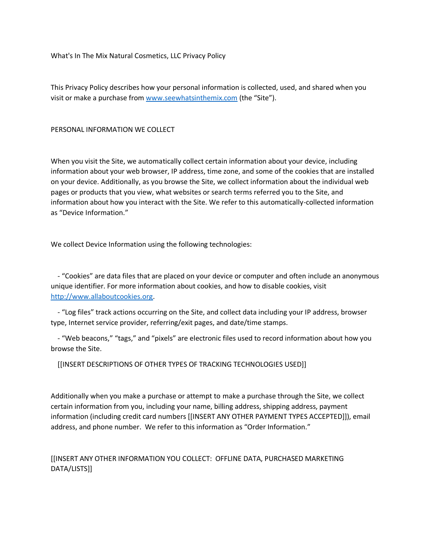What's In The Mix Natural Cosmetics, LLC Privacy Policy

This Privacy Policy describes how your personal information is collected, used, and shared when you visit or make a purchase from www.seewhatsinthemix.com (the "Site").

#### PERSONAL INFORMATION WE COLLECT

When you visit the Site, we automatically collect certain information about your device, including information about your web browser, IP address, time zone, and some of the cookies that are installed on your device. Additionally, as you browse the Site, we collect information about the individual web pages or products that you view, what websites or search terms referred you to the Site, and information about how you interact with the Site. We refer to this automatically-collected information as "Device Information."

We collect Device Information using the following technologies:

 - "Cookies" are data files that are placed on your device or computer and often include an anonymous unique identifier. For more information about cookies, and how to disable cookies, visit [http://www.allaboutcookies.org.](http://www.allaboutcookies.org/)

 - "Log files" track actions occurring on the Site, and collect data including your IP address, browser type, Internet service provider, referring/exit pages, and date/time stamps.

 - "Web beacons," "tags," and "pixels" are electronic files used to record information about how you browse the Site.

[[INSERT DESCRIPTIONS OF OTHER TYPES OF TRACKING TECHNOLOGIES USED]]

Additionally when you make a purchase or attempt to make a purchase through the Site, we collect certain information from you, including your name, billing address, shipping address, payment information (including credit card numbers [[INSERT ANY OTHER PAYMENT TYPES ACCEPTED]]), email address, and phone number. We refer to this information as "Order Information."

# [[INSERT ANY OTHER INFORMATION YOU COLLECT: OFFLINE DATA, PURCHASED MARKETING DATA/LISTS]]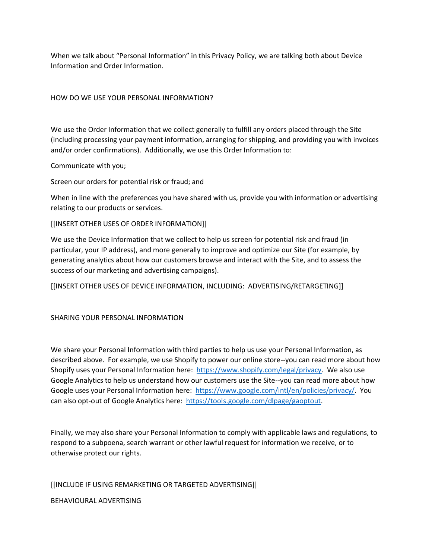When we talk about "Personal Information" in this Privacy Policy, we are talking both about Device Information and Order Information.

## HOW DO WE USE YOUR PERSONAL INFORMATION?

We use the Order Information that we collect generally to fulfill any orders placed through the Site (including processing your payment information, arranging for shipping, and providing you with invoices and/or order confirmations). Additionally, we use this Order Information to:

#### Communicate with you;

Screen our orders for potential risk or fraud; and

When in line with the preferences you have shared with us, provide you with information or advertising relating to our products or services.

#### [[INSERT OTHER USES OF ORDER INFORMATION]]

We use the Device Information that we collect to help us screen for potential risk and fraud (in particular, your IP address), and more generally to improve and optimize our Site (for example, by generating analytics about how our customers browse and interact with the Site, and to assess the success of our marketing and advertising campaigns).

[[INSERT OTHER USES OF DEVICE INFORMATION, INCLUDING: ADVERTISING/RETARGETING]]

#### SHARING YOUR PERSONAL INFORMATION

We share your Personal Information with third parties to help us use your Personal Information, as described above. For example, we use Shopify to power our online store--you can read more about how Shopify uses your Personal Information here: [https://www.shopify.com/legal/privacy.](https://www.shopify.com/legal/privacy) We also use Google Analytics to help us understand how our customers use the Site--you can read more about how Google uses your Personal Information here: [https://www.google.com/intl/en/policies/privacy/.](https://www.google.com/intl/en/policies/privacy/) You can also opt-out of Google Analytics here: [https://tools.google.com/dlpage/gaoptout.](https://tools.google.com/dlpage/gaoptout)

Finally, we may also share your Personal Information to comply with applicable laws and regulations, to respond to a subpoena, search warrant or other lawful request for information we receive, or to otherwise protect our rights.

[[INCLUDE IF USING REMARKETING OR TARGETED ADVERTISING]] BEHAVIOURAL ADVERTISING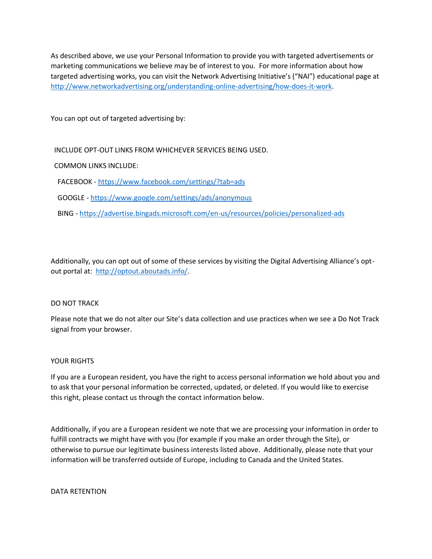As described above, we use your Personal Information to provide you with targeted advertisements or marketing communications we believe may be of interest to you. For more information about how targeted advertising works, you can visit the Network Advertising Initiative's ("NAI") educational page at [http://www.networkadvertising.org/understanding-online-advertising/how-does-it-work.](http://www.networkadvertising.org/understanding-online-advertising/how-does-it-work)

You can opt out of targeted advertising by:

INCLUDE OPT-OUT LINKS FROM WHICHEVER SERVICES BEING USED.

COMMON LINKS INCLUDE:

FACEBOOK - <https://www.facebook.com/settings/?tab=ads>

GOOGLE - <https://www.google.com/settings/ads/anonymous>

BING - <https://advertise.bingads.microsoft.com/en-us/resources/policies/personalized-ads>

Additionally, you can opt out of some of these services by visiting the Digital Advertising Alliance's optout portal at: [http://optout.aboutads.info/.](http://optout.aboutads.info/)

#### DO NOT TRACK

Please note that we do not alter our Site's data collection and use practices when we see a Do Not Track signal from your browser.

#### YOUR RIGHTS

If you are a European resident, you have the right to access personal information we hold about you and to ask that your personal information be corrected, updated, or deleted. If you would like to exercise this right, please contact us through the contact information below.

Additionally, if you are a European resident we note that we are processing your information in order to fulfill contracts we might have with you (for example if you make an order through the Site), or otherwise to pursue our legitimate business interests listed above. Additionally, please note that your information will be transferred outside of Europe, including to Canada and the United States.

DATA RETENTION